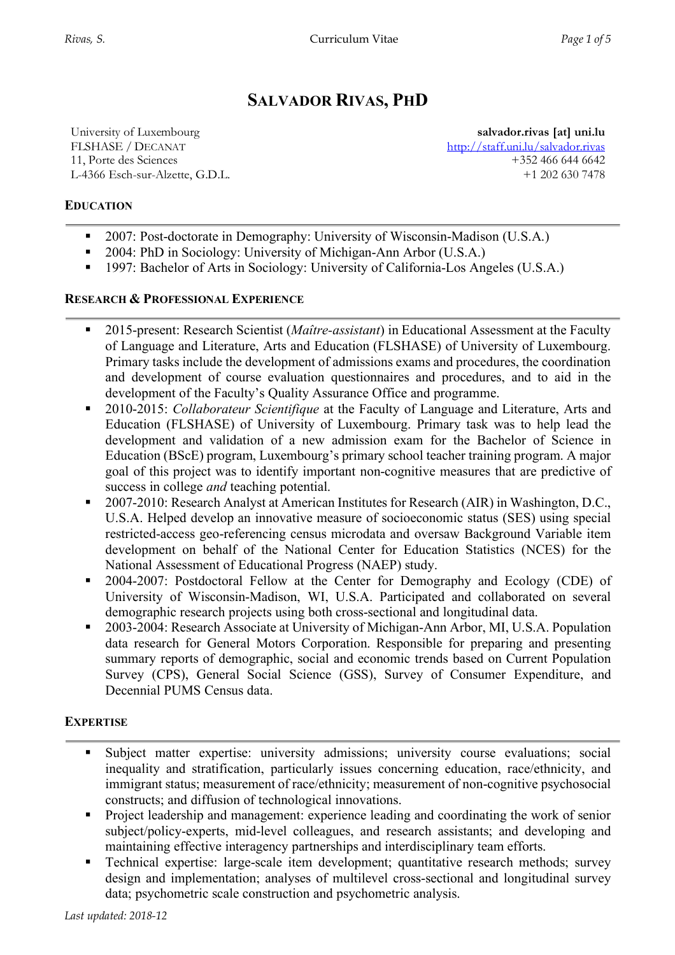# **SALVADOR RIVAS, PHD**

University of Luxembourg FLSHASE / DECANAT 11, Porte des Sciences L-4366 Esch-sur-Alzette, G.D.L.

**salvador.rivas [at] uni.lu** http://staff.uni.lu/salvador.rivas +352 466 644 6642 +1 202 630 7478

## **EDUCATION**

- 2007: Post-doctorate in Demography: University of Wisconsin-Madison (U.S.A.)
- § 2004: PhD in Sociology: University of Michigan-Ann Arbor (U.S.A.)
- 1997: Bachelor of Arts in Sociology: University of California-Los Angeles (U.S.A.)

## **RESEARCH & PROFESSIONAL EXPERIENCE**

- 2015-present: Research Scientist (*Maître-assistant*) in Educational Assessment at the Faculty of Language and Literature, Arts and Education (FLSHASE) of University of Luxembourg. Primary tasks include the development of admissions exams and procedures, the coordination and development of course evaluation questionnaires and procedures, and to aid in the development of the Faculty's Quality Assurance Office and programme.
- 2010-2015: *Collaborateur Scientifique* at the Faculty of Language and Literature, Arts and Education (FLSHASE) of University of Luxembourg. Primary task was to help lead the development and validation of a new admission exam for the Bachelor of Science in Education (BScE) program, Luxembourg's primary school teacher training program. A major goal of this project was to identify important non-cognitive measures that are predictive of success in college *and* teaching potential.
- 2007-2010: Research Analyst at American Institutes for Research (AIR) in Washington, D.C., U.S.A. Helped develop an innovative measure of socioeconomic status (SES) using special restricted-access geo-referencing census microdata and oversaw Background Variable item development on behalf of the National Center for Education Statistics (NCES) for the National Assessment of Educational Progress (NAEP) study.
- § 2004-2007: Postdoctoral Fellow at the Center for Demography and Ecology (CDE) of University of Wisconsin-Madison, WI, U.S.A. Participated and collaborated on several demographic research projects using both cross-sectional and longitudinal data.
- 2003-2004: Research Associate at University of Michigan-Ann Arbor, MI, U.S.A. Population data research for General Motors Corporation. Responsible for preparing and presenting summary reports of demographic, social and economic trends based on Current Population Survey (CPS), General Social Science (GSS), Survey of Consumer Expenditure, and Decennial PUMS Census data.

#### **EXPERTISE**

- § Subject matter expertise: university admissions; university course evaluations; social inequality and stratification, particularly issues concerning education, race/ethnicity, and immigrant status; measurement of race/ethnicity; measurement of non-cognitive psychosocial constructs; and diffusion of technological innovations.
- Project leadership and management: experience leading and coordinating the work of senior subject/policy-experts, mid-level colleagues, and research assistants; and developing and maintaining effective interagency partnerships and interdisciplinary team efforts.
- § Technical expertise: large-scale item development; quantitative research methods; survey design and implementation; analyses of multilevel cross-sectional and longitudinal survey data; psychometric scale construction and psychometric analysis.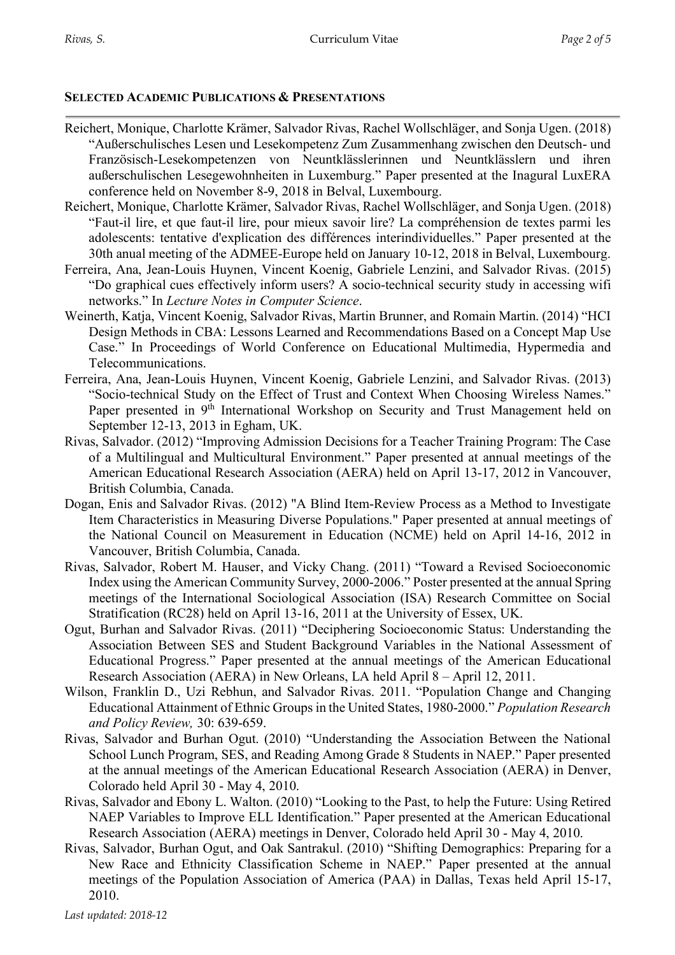#### **SELECTED ACADEMIC PUBLICATIONS & PRESENTATIONS**

- Reichert, Monique, Charlotte Krämer, Salvador Rivas, Rachel Wollschläger, and Sonja Ugen. (2018) "Außerschulisches Lesen und Lesekompetenz Zum Zusammenhang zwischen den Deutsch- und Französisch-Lesekompetenzen von Neuntklässlerinnen und Neuntklässlern und ihren außerschulischen Lesegewohnheiten in Luxemburg." Paper presented at the Inagural LuxERA conference held on November 8-9, 2018 in Belval, Luxembourg.
- Reichert, Monique, Charlotte Krämer, Salvador Rivas, Rachel Wollschläger, and Sonja Ugen. (2018) "Faut-il lire, et que faut-il lire, pour mieux savoir lire? La compréhension de textes parmi les adolescents: tentative d'explication des différences interindividuelles." Paper presented at the 30th anual meeting of the ADMEE-Europe held on January 10-12, 2018 in Belval, Luxembourg.
- Ferreira, Ana, Jean-Louis Huynen, Vincent Koenig, Gabriele Lenzini, and Salvador Rivas. (2015) "Do graphical cues effectively inform users? A socio-technical security study in accessing wifi networks." In *Lecture Notes in Computer Science*.
- Weinerth, Katja, Vincent Koenig, Salvador Rivas, Martin Brunner, and Romain Martin. (2014) "HCI Design Methods in CBA: Lessons Learned and Recommendations Based on a Concept Map Use Case." In Proceedings of World Conference on Educational Multimedia, Hypermedia and Telecommunications.
- Ferreira, Ana, Jean-Louis Huynen, Vincent Koenig, Gabriele Lenzini, and Salvador Rivas. (2013) "Socio-technical Study on the Effect of Trust and Context When Choosing Wireless Names." Paper presented in 9<sup>th</sup> International Workshop on Security and Trust Management held on September 12-13, 2013 in Egham, UK.
- Rivas, Salvador. (2012) "Improving Admission Decisions for a Teacher Training Program: The Case of a Multilingual and Multicultural Environment." Paper presented at annual meetings of the American Educational Research Association (AERA) held on April 13-17, 2012 in Vancouver, British Columbia, Canada.
- Dogan, Enis and Salvador Rivas. (2012) "A Blind Item-Review Process as a Method to Investigate Item Characteristics in Measuring Diverse Populations." Paper presented at annual meetings of the National Council on Measurement in Education (NCME) held on April 14-16, 2012 in Vancouver, British Columbia, Canada.
- Rivas, Salvador, Robert M. Hauser, and Vicky Chang. (2011) "Toward a Revised Socioeconomic Index using the American Community Survey, 2000-2006." Poster presented at the annual Spring meetings of the International Sociological Association (ISA) Research Committee on Social Stratification (RC28) held on April 13-16, 2011 at the University of Essex, UK.
- Ogut, Burhan and Salvador Rivas. (2011) "Deciphering Socioeconomic Status: Understanding the Association Between SES and Student Background Variables in the National Assessment of Educational Progress." Paper presented at the annual meetings of the American Educational Research Association (AERA) in New Orleans, LA held April 8 – April 12, 2011.
- Wilson, Franklin D., Uzi Rebhun, and Salvador Rivas. 2011. "Population Change and Changing Educational Attainment of Ethnic Groups in the United States, 1980-2000." *Population Research and Policy Review,* 30: 639-659.
- Rivas, Salvador and Burhan Ogut. (2010) "Understanding the Association Between the National School Lunch Program, SES, and Reading Among Grade 8 Students in NAEP." Paper presented at the annual meetings of the American Educational Research Association (AERA) in Denver, Colorado held April 30 - May 4, 2010.
- Rivas, Salvador and Ebony L. Walton. (2010) "Looking to the Past, to help the Future: Using Retired NAEP Variables to Improve ELL Identification." Paper presented at the American Educational Research Association (AERA) meetings in Denver, Colorado held April 30 - May 4, 2010.
- Rivas, Salvador, Burhan Ogut, and Oak Santrakul. (2010) "Shifting Demographics: Preparing for a New Race and Ethnicity Classification Scheme in NAEP." Paper presented at the annual meetings of the Population Association of America (PAA) in Dallas, Texas held April 15-17, 2010.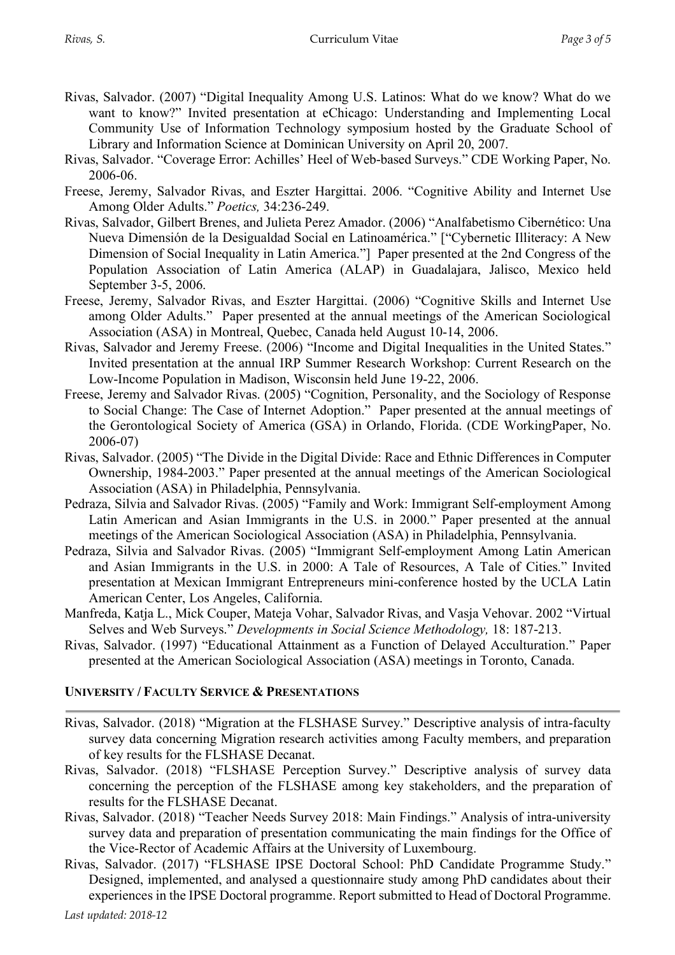- Rivas, Salvador. (2007) "Digital Inequality Among U.S. Latinos: What do we know? What do we want to know?" Invited presentation at eChicago: Understanding and Implementing Local Community Use of Information Technology symposium hosted by the Graduate School of Library and Information Science at Dominican University on April 20, 2007.
- Rivas, Salvador. "Coverage Error: Achilles' Heel of Web-based Surveys." CDE Working Paper, No. 2006-06.
- Freese, Jeremy, Salvador Rivas, and Eszter Hargittai. 2006. "Cognitive Ability and Internet Use Among Older Adults." *Poetics,* 34:236-249.
- Rivas, Salvador, Gilbert Brenes, and Julieta Perez Amador. (2006) "Analfabetismo Cibernético: Una Nueva Dimensión de la Desigualdad Social en Latinoamérica." ["Cybernetic Illiteracy: A New Dimension of Social Inequality in Latin America."] Paper presented at the 2nd Congress of the Population Association of Latin America (ALAP) in Guadalajara, Jalisco, Mexico held September 3-5, 2006.
- Freese, Jeremy, Salvador Rivas, and Eszter Hargittai. (2006) "Cognitive Skills and Internet Use among Older Adults." Paper presented at the annual meetings of the American Sociological Association (ASA) in Montreal, Quebec, Canada held August 10-14, 2006.
- Rivas, Salvador and Jeremy Freese. (2006) "Income and Digital Inequalities in the United States." Invited presentation at the annual IRP Summer Research Workshop: Current Research on the Low-Income Population in Madison, Wisconsin held June 19-22, 2006.
- Freese, Jeremy and Salvador Rivas. (2005) "Cognition, Personality, and the Sociology of Response to Social Change: The Case of Internet Adoption." Paper presented at the annual meetings of the Gerontological Society of America (GSA) in Orlando, Florida. (CDE WorkingPaper, No. 2006-07)
- Rivas, Salvador. (2005) "The Divide in the Digital Divide: Race and Ethnic Differences in Computer Ownership, 1984-2003." Paper presented at the annual meetings of the American Sociological Association (ASA) in Philadelphia, Pennsylvania.
- Pedraza, Silvia and Salvador Rivas. (2005) "Family and Work: Immigrant Self-employment Among Latin American and Asian Immigrants in the U.S. in 2000." Paper presented at the annual meetings of the American Sociological Association (ASA) in Philadelphia, Pennsylvania.
- Pedraza, Silvia and Salvador Rivas. (2005) "Immigrant Self-employment Among Latin American and Asian Immigrants in the U.S. in 2000: A Tale of Resources, A Tale of Cities." Invited presentation at Mexican Immigrant Entrepreneurs mini-conference hosted by the UCLA Latin American Center, Los Angeles, California.
- Manfreda, Katja L., Mick Couper, Mateja Vohar, Salvador Rivas, and Vasja Vehovar. 2002 "Virtual Selves and Web Surveys." *Developments in Social Science Methodology,* 18: 187-213.
- Rivas, Salvador. (1997) "Educational Attainment as a Function of Delayed Acculturation." Paper presented at the American Sociological Association (ASA) meetings in Toronto, Canada.

#### **UNIVERSITY / FACULTY SERVICE & PRESENTATIONS**

- Rivas, Salvador. (2018) "Migration at the FLSHASE Survey." Descriptive analysis of intra-faculty survey data concerning Migration research activities among Faculty members, and preparation of key results for the FLSHASE Decanat.
- Rivas, Salvador. (2018) "FLSHASE Perception Survey." Descriptive analysis of survey data concerning the perception of the FLSHASE among key stakeholders, and the preparation of results for the FLSHASE Decanat.
- Rivas, Salvador. (2018) "Teacher Needs Survey 2018: Main Findings." Analysis of intra-university survey data and preparation of presentation communicating the main findings for the Office of the Vice-Rector of Academic Affairs at the University of Luxembourg.
- Rivas, Salvador. (2017) "FLSHASE IPSE Doctoral School: PhD Candidate Programme Study." Designed, implemented, and analysed a questionnaire study among PhD candidates about their experiences in the IPSE Doctoral programme. Report submitted to Head of Doctoral Programme.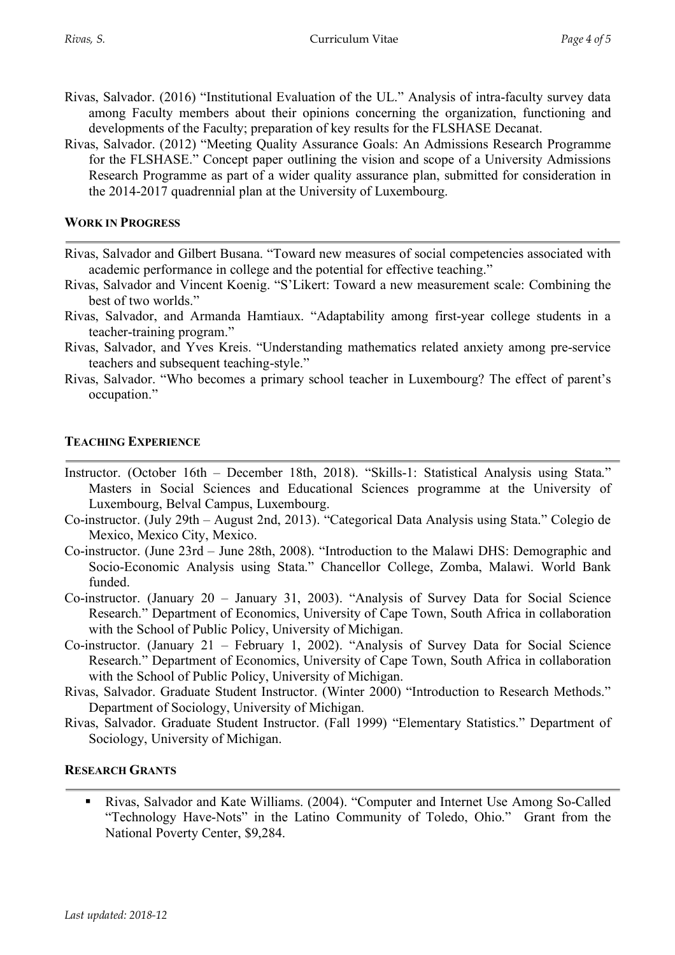- Rivas, Salvador. (2016) "Institutional Evaluation of the UL." Analysis of intra-faculty survey data among Faculty members about their opinions concerning the organization, functioning and developments of the Faculty; preparation of key results for the FLSHASE Decanat.
- Rivas, Salvador. (2012) "Meeting Quality Assurance Goals: An Admissions Research Programme for the FLSHASE." Concept paper outlining the vision and scope of a University Admissions Research Programme as part of a wider quality assurance plan, submitted for consideration in the 2014-2017 quadrennial plan at the University of Luxembourg.

#### **WORK IN PROGRESS**

- Rivas, Salvador and Gilbert Busana. "Toward new measures of social competencies associated with academic performance in college and the potential for effective teaching."
- Rivas, Salvador and Vincent Koenig. "S'Likert: Toward a new measurement scale: Combining the best of two worlds."
- Rivas, Salvador, and Armanda Hamtiaux. "Adaptability among first-year college students in a teacher-training program."
- Rivas, Salvador, and Yves Kreis. "Understanding mathematics related anxiety among pre-service teachers and subsequent teaching-style."
- Rivas, Salvador. "Who becomes a primary school teacher in Luxembourg? The effect of parent's occupation."

#### **TEACHING EXPERIENCE**

- Instructor. (October 16th December 18th, 2018). "Skills-1: Statistical Analysis using Stata." Masters in Social Sciences and Educational Sciences programme at the University of Luxembourg, Belval Campus, Luxembourg.
- Co-instructor. (July 29th August 2nd, 2013). "Categorical Data Analysis using Stata." Colegio de Mexico, Mexico City, Mexico.
- Co-instructor. (June 23rd June 28th, 2008). "Introduction to the Malawi DHS: Demographic and Socio-Economic Analysis using Stata." Chancellor College, Zomba, Malawi. World Bank funded.
- Co-instructor. (January 20 January 31, 2003). "Analysis of Survey Data for Social Science Research." Department of Economics, University of Cape Town, South Africa in collaboration with the School of Public Policy, University of Michigan.
- Co-instructor. (January 21 February 1, 2002). "Analysis of Survey Data for Social Science Research." Department of Economics, University of Cape Town, South Africa in collaboration with the School of Public Policy, University of Michigan.
- Rivas, Salvador. Graduate Student Instructor. (Winter 2000) "Introduction to Research Methods." Department of Sociology, University of Michigan.
- Rivas, Salvador. Graduate Student Instructor. (Fall 1999) "Elementary Statistics." Department of Sociology, University of Michigan.

#### **RESEARCH GRANTS**

■ Rivas, Salvador and Kate Williams. (2004). "Computer and Internet Use Among So-Called "Technology Have-Nots" in the Latino Community of Toledo, Ohio." Grant from the National Poverty Center, \$9,284.